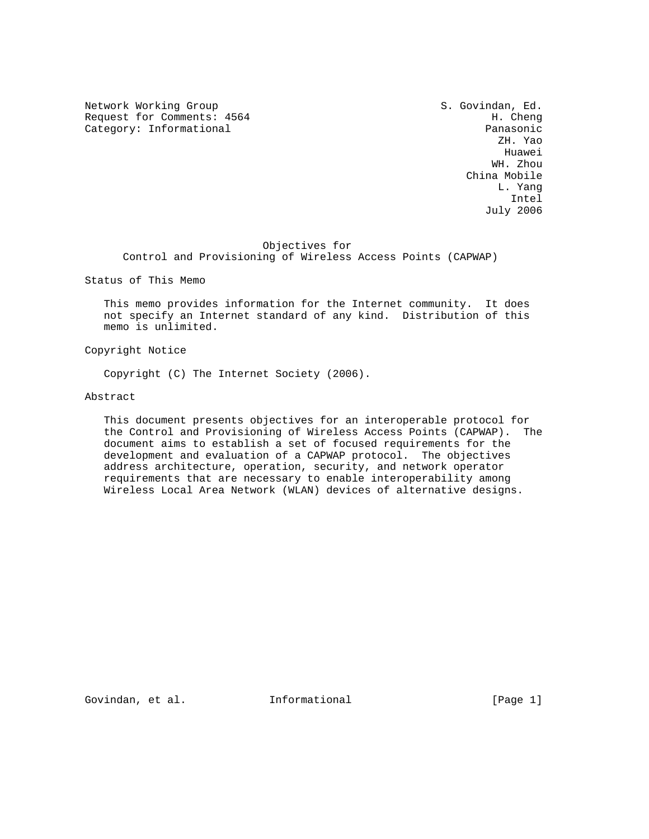Network Working Group S. Govindan, Ed. Request for Comments: 4564 H. Cheng<br>
Category: Informational example and the category: Informational

Category: Informational Panasonic Panasonic Panasonic Panasonic Panasonic Panasonic ZH. Yao he distributed by the control of the control of the control of the control of the control of the control of the control of the control of the control of the control of the control of the control of the control of the contr WH. Zhou China Mobile L. Yang Intel July 2006

## Objectives for

Control and Provisioning of Wireless Access Points (CAPWAP)

Status of This Memo

 This memo provides information for the Internet community. It does not specify an Internet standard of any kind. Distribution of this memo is unlimited.

Copyright Notice

Copyright (C) The Internet Society (2006).

Abstract

 This document presents objectives for an interoperable protocol for the Control and Provisioning of Wireless Access Points (CAPWAP). The document aims to establish a set of focused requirements for the development and evaluation of a CAPWAP protocol. The objectives address architecture, operation, security, and network operator requirements that are necessary to enable interoperability among Wireless Local Area Network (WLAN) devices of alternative designs.

Govindan, et al. **Informational** [Page 1]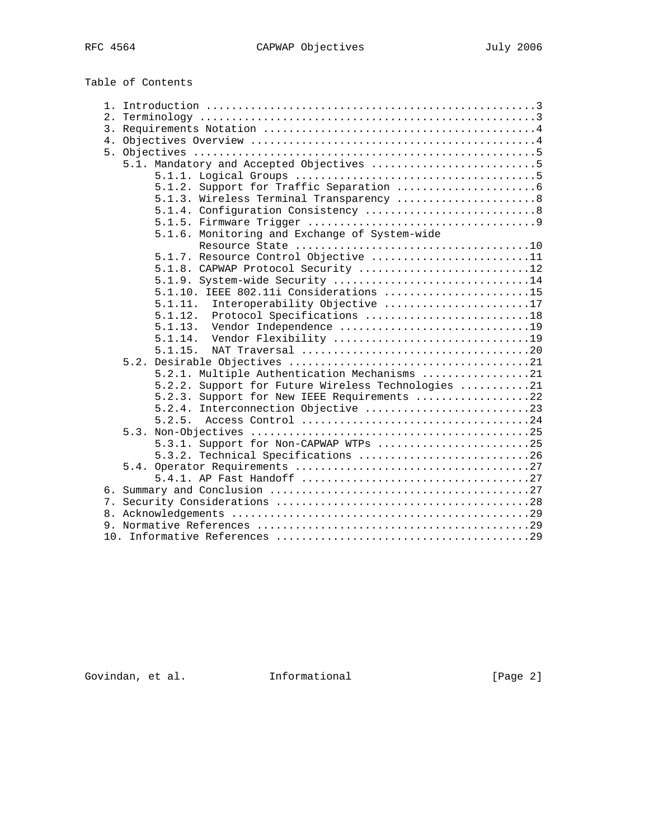Table of Contents

| 2.                                                    |
|-------------------------------------------------------|
|                                                       |
|                                                       |
|                                                       |
| 5.1. Mandatory and Accepted Objectives 5              |
|                                                       |
|                                                       |
| 5.1.3. Wireless Terminal Transparency  8              |
|                                                       |
|                                                       |
| 5.1.6. Monitoring and Exchange of System-wide         |
|                                                       |
| 5.1.7. Resource Control Objective 11                  |
| 5.1.8. CAPWAP Protocol Security 12                    |
| 5.1.9. System-wide Security 14                        |
| $5.1.10.$ IEEE 802.11i Considerations 15              |
| Interoperability Objective 17<br>5.1.11.              |
| 5.1.12.<br>Protocol Specifications 18                 |
| Vendor Independence 19<br>5.1.13.                     |
| Vendor Flexibility 19<br>5.1.14.                      |
| 5.1.15.                                               |
|                                                       |
| 5.2.1. Multiple Authentication Mechanisms 21          |
| Support for Future Wireless Technologies 21<br>5.2.2. |
| Support for New IEEE Requirements 22<br>5.2.3.        |
| Interconnection Objective 23<br>5.2.4.                |
|                                                       |
|                                                       |
| 5.3.1. Support for Non-CAPWAP WTPs 25                 |
| 5.3.2. Technical Specifications 26                    |
|                                                       |
|                                                       |
|                                                       |
|                                                       |
|                                                       |
|                                                       |
|                                                       |

Govindan, et al. 1nformational (Page 2)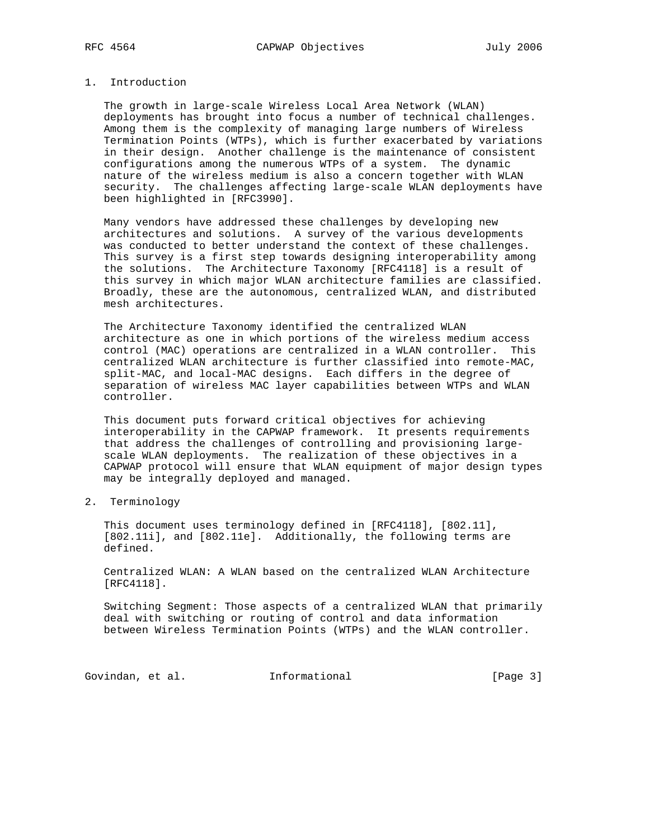# 1. Introduction

 The growth in large-scale Wireless Local Area Network (WLAN) deployments has brought into focus a number of technical challenges. Among them is the complexity of managing large numbers of Wireless Termination Points (WTPs), which is further exacerbated by variations in their design. Another challenge is the maintenance of consistent configurations among the numerous WTPs of a system. The dynamic nature of the wireless medium is also a concern together with WLAN security. The challenges affecting large-scale WLAN deployments have been highlighted in [RFC3990].

 Many vendors have addressed these challenges by developing new architectures and solutions. A survey of the various developments was conducted to better understand the context of these challenges. This survey is a first step towards designing interoperability among the solutions. The Architecture Taxonomy [RFC4118] is a result of this survey in which major WLAN architecture families are classified. Broadly, these are the autonomous, centralized WLAN, and distributed mesh architectures.

 The Architecture Taxonomy identified the centralized WLAN architecture as one in which portions of the wireless medium access control (MAC) operations are centralized in a WLAN controller. This centralized WLAN architecture is further classified into remote-MAC, split-MAC, and local-MAC designs. Each differs in the degree of separation of wireless MAC layer capabilities between WTPs and WLAN controller.

 This document puts forward critical objectives for achieving interoperability in the CAPWAP framework. It presents requirements that address the challenges of controlling and provisioning large scale WLAN deployments. The realization of these objectives in a CAPWAP protocol will ensure that WLAN equipment of major design types may be integrally deployed and managed.

2. Terminology

 This document uses terminology defined in [RFC4118], [802.11], [802.11i], and [802.11e]. Additionally, the following terms are defined.

 Centralized WLAN: A WLAN based on the centralized WLAN Architecture [RFC4118].

 Switching Segment: Those aspects of a centralized WLAN that primarily deal with switching or routing of control and data information between Wireless Termination Points (WTPs) and the WLAN controller.

Govindan, et al. 1nformational 1999 [Page 3]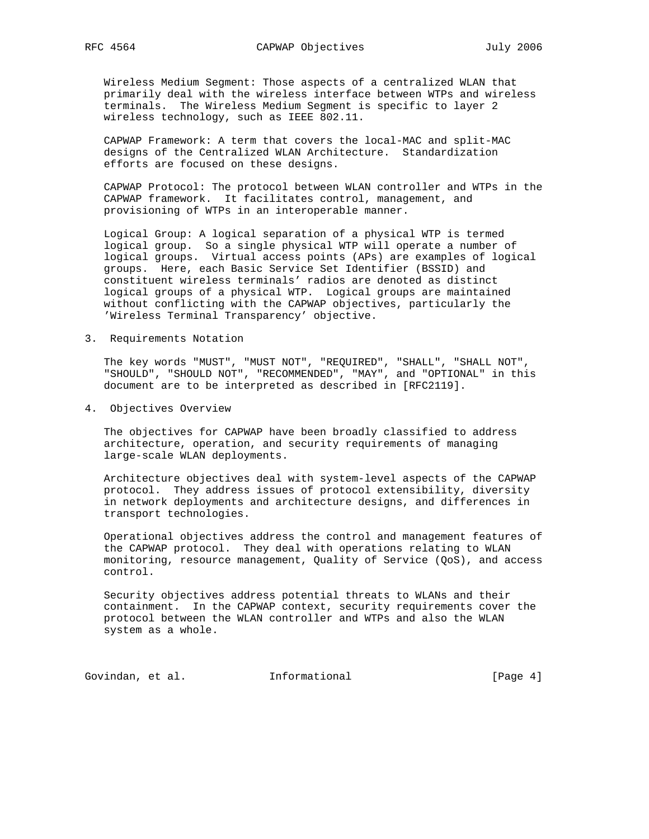Wireless Medium Segment: Those aspects of a centralized WLAN that primarily deal with the wireless interface between WTPs and wireless terminals. The Wireless Medium Segment is specific to layer 2 wireless technology, such as IEEE 802.11.

 CAPWAP Framework: A term that covers the local-MAC and split-MAC designs of the Centralized WLAN Architecture. Standardization efforts are focused on these designs.

 CAPWAP Protocol: The protocol between WLAN controller and WTPs in the CAPWAP framework. It facilitates control, management, and provisioning of WTPs in an interoperable manner.

 Logical Group: A logical separation of a physical WTP is termed logical group. So a single physical WTP will operate a number of logical groups. Virtual access points (APs) are examples of logical groups. Here, each Basic Service Set Identifier (BSSID) and constituent wireless terminals' radios are denoted as distinct logical groups of a physical WTP. Logical groups are maintained without conflicting with the CAPWAP objectives, particularly the 'Wireless Terminal Transparency' objective.

3. Requirements Notation

 The key words "MUST", "MUST NOT", "REQUIRED", "SHALL", "SHALL NOT", "SHOULD", "SHOULD NOT", "RECOMMENDED", "MAY", and "OPTIONAL" in this document are to be interpreted as described in [RFC2119].

4. Objectives Overview

 The objectives for CAPWAP have been broadly classified to address architecture, operation, and security requirements of managing large-scale WLAN deployments.

 Architecture objectives deal with system-level aspects of the CAPWAP protocol. They address issues of protocol extensibility, diversity in network deployments and architecture designs, and differences in transport technologies.

 Operational objectives address the control and management features of the CAPWAP protocol. They deal with operations relating to WLAN monitoring, resource management, Quality of Service (QoS), and access control.

 Security objectives address potential threats to WLANs and their containment. In the CAPWAP context, security requirements cover the protocol between the WLAN controller and WTPs and also the WLAN system as a whole.

Govindan, et al. 1nformational 1999 [Page 4]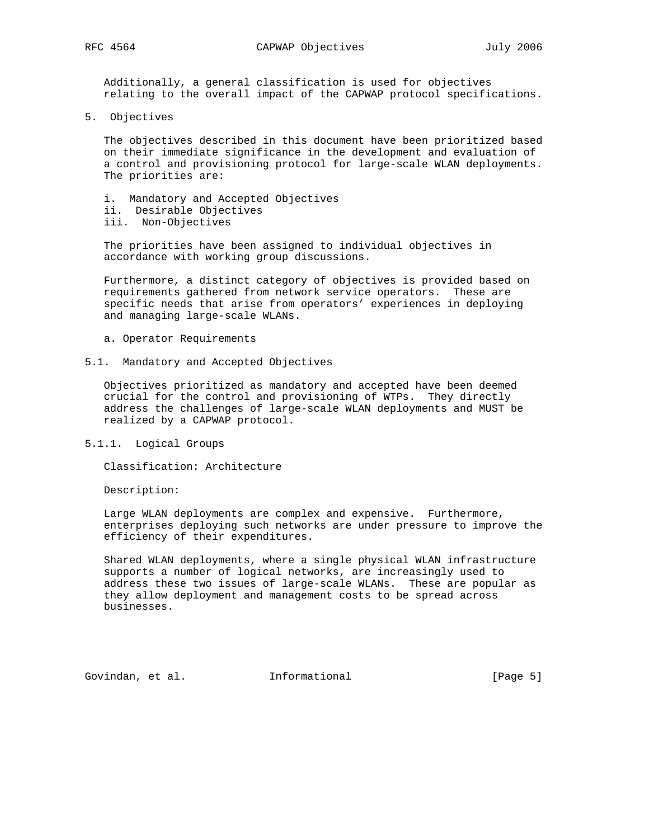Additionally, a general classification is used for objectives relating to the overall impact of the CAPWAP protocol specifications.

5. Objectives

 The objectives described in this document have been prioritized based on their immediate significance in the development and evaluation of a control and provisioning protocol for large-scale WLAN deployments. The priorities are:

- i. Mandatory and Accepted Objectives ii. Desirable Objectives
- iii. Non-Objectives

 The priorities have been assigned to individual objectives in accordance with working group discussions.

 Furthermore, a distinct category of objectives is provided based on requirements gathered from network service operators. These are specific needs that arise from operators' experiences in deploying and managing large-scale WLANs.

- a. Operator Requirements
- 5.1. Mandatory and Accepted Objectives

 Objectives prioritized as mandatory and accepted have been deemed crucial for the control and provisioning of WTPs. They directly address the challenges of large-scale WLAN deployments and MUST be realized by a CAPWAP protocol.

5.1.1. Logical Groups

Classification: Architecture

Description:

 Large WLAN deployments are complex and expensive. Furthermore, enterprises deploying such networks are under pressure to improve the efficiency of their expenditures.

 Shared WLAN deployments, where a single physical WLAN infrastructure supports a number of logical networks, are increasingly used to address these two issues of large-scale WLANs. These are popular as they allow deployment and management costs to be spread across businesses.

Govindan, et al. 1nformational (Page 5)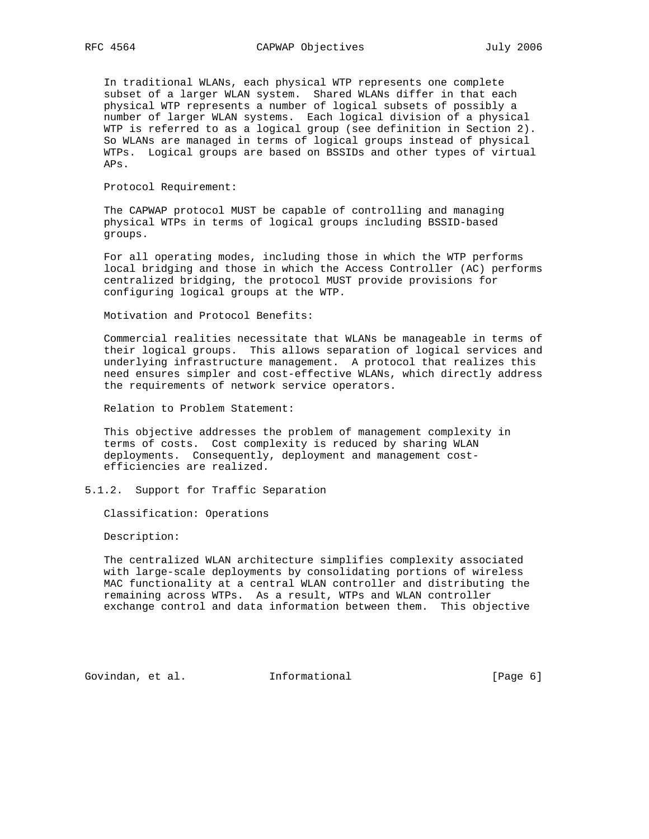In traditional WLANs, each physical WTP represents one complete subset of a larger WLAN system. Shared WLANs differ in that each physical WTP represents a number of logical subsets of possibly a number of larger WLAN systems. Each logical division of a physical WTP is referred to as a logical group (see definition in Section 2). So WLANs are managed in terms of logical groups instead of physical WTPs. Logical groups are based on BSSIDs and other types of virtual APs.

Protocol Requirement:

 The CAPWAP protocol MUST be capable of controlling and managing physical WTPs in terms of logical groups including BSSID-based groups.

 For all operating modes, including those in which the WTP performs local bridging and those in which the Access Controller (AC) performs centralized bridging, the protocol MUST provide provisions for configuring logical groups at the WTP.

Motivation and Protocol Benefits:

 Commercial realities necessitate that WLANs be manageable in terms of their logical groups. This allows separation of logical services and underlying infrastructure management. A protocol that realizes this need ensures simpler and cost-effective WLANs, which directly address the requirements of network service operators.

Relation to Problem Statement:

 This objective addresses the problem of management complexity in terms of costs. Cost complexity is reduced by sharing WLAN deployments. Consequently, deployment and management cost efficiencies are realized.

5.1.2. Support for Traffic Separation

Classification: Operations

Description:

 The centralized WLAN architecture simplifies complexity associated with large-scale deployments by consolidating portions of wireless MAC functionality at a central WLAN controller and distributing the remaining across WTPs. As a result, WTPs and WLAN controller exchange control and data information between them. This objective

Govindan, et al. 1nformational 1999 [Page 6]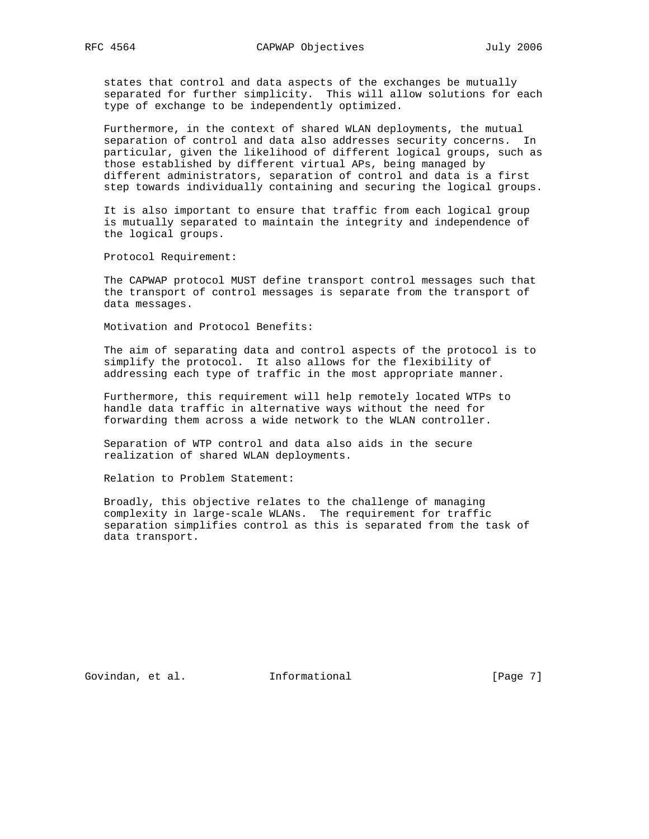states that control and data aspects of the exchanges be mutually separated for further simplicity. This will allow solutions for each type of exchange to be independently optimized.

 Furthermore, in the context of shared WLAN deployments, the mutual separation of control and data also addresses security concerns. In particular, given the likelihood of different logical groups, such as those established by different virtual APs, being managed by different administrators, separation of control and data is a first step towards individually containing and securing the logical groups.

 It is also important to ensure that traffic from each logical group is mutually separated to maintain the integrity and independence of the logical groups.

Protocol Requirement:

 The CAPWAP protocol MUST define transport control messages such that the transport of control messages is separate from the transport of data messages.

Motivation and Protocol Benefits:

 The aim of separating data and control aspects of the protocol is to simplify the protocol. It also allows for the flexibility of addressing each type of traffic in the most appropriate manner.

 Furthermore, this requirement will help remotely located WTPs to handle data traffic in alternative ways without the need for forwarding them across a wide network to the WLAN controller.

 Separation of WTP control and data also aids in the secure realization of shared WLAN deployments.

Relation to Problem Statement:

 Broadly, this objective relates to the challenge of managing complexity in large-scale WLANs. The requirement for traffic separation simplifies control as this is separated from the task of data transport.

Govindan, et al. 1nformational 1999 [Page 7]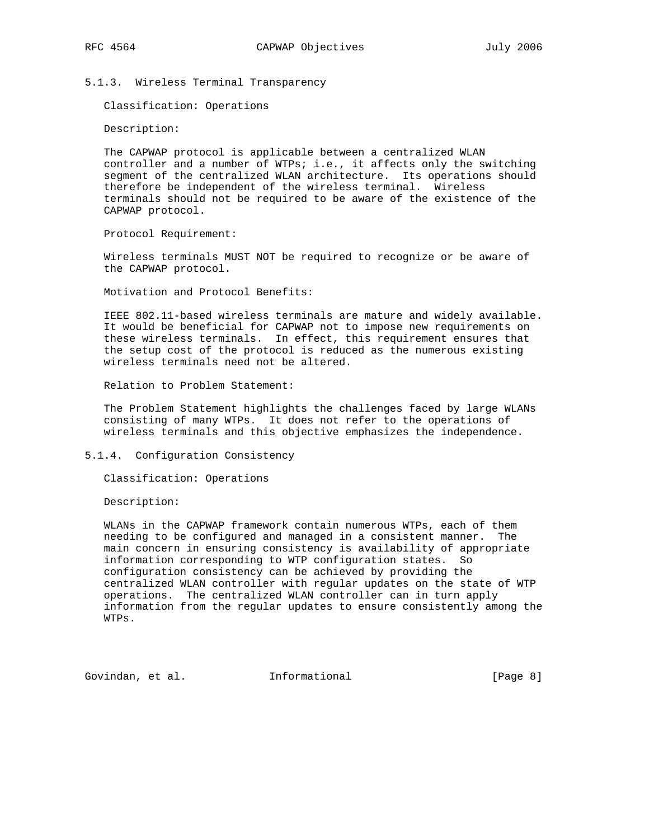5.1.3. Wireless Terminal Transparency

Classification: Operations

Description:

 The CAPWAP protocol is applicable between a centralized WLAN controller and a number of WTPs; i.e., it affects only the switching segment of the centralized WLAN architecture. Its operations should therefore be independent of the wireless terminal. Wireless terminals should not be required to be aware of the existence of the CAPWAP protocol.

Protocol Requirement:

 Wireless terminals MUST NOT be required to recognize or be aware of the CAPWAP protocol.

Motivation and Protocol Benefits:

 IEEE 802.11-based wireless terminals are mature and widely available. It would be beneficial for CAPWAP not to impose new requirements on these wireless terminals. In effect, this requirement ensures that the setup cost of the protocol is reduced as the numerous existing wireless terminals need not be altered.

Relation to Problem Statement:

 The Problem Statement highlights the challenges faced by large WLANs consisting of many WTPs. It does not refer to the operations of wireless terminals and this objective emphasizes the independence.

5.1.4. Configuration Consistency

Classification: Operations

Description:

 WLANs in the CAPWAP framework contain numerous WTPs, each of them needing to be configured and managed in a consistent manner. The main concern in ensuring consistency is availability of appropriate information corresponding to WTP configuration states. So configuration consistency can be achieved by providing the centralized WLAN controller with regular updates on the state of WTP operations. The centralized WLAN controller can in turn apply information from the regular updates to ensure consistently among the WTPs.

Govindan, et al. 1nformational 1999 [Page 8]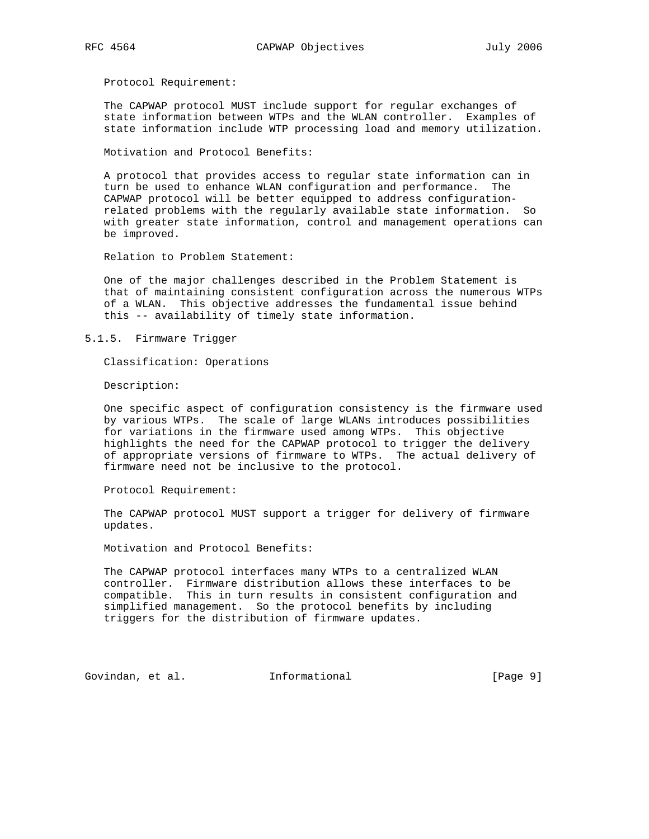Protocol Requirement:

 The CAPWAP protocol MUST include support for regular exchanges of state information between WTPs and the WLAN controller. Examples of state information include WTP processing load and memory utilization.

Motivation and Protocol Benefits:

 A protocol that provides access to regular state information can in turn be used to enhance WLAN configuration and performance. The CAPWAP protocol will be better equipped to address configuration related problems with the regularly available state information. So with greater state information, control and management operations can be improved.

Relation to Problem Statement:

 One of the major challenges described in the Problem Statement is that of maintaining consistent configuration across the numerous WTPs of a WLAN. This objective addresses the fundamental issue behind this -- availability of timely state information.

5.1.5. Firmware Trigger

Classification: Operations

Description:

 One specific aspect of configuration consistency is the firmware used by various WTPs. The scale of large WLANs introduces possibilities for variations in the firmware used among WTPs. This objective highlights the need for the CAPWAP protocol to trigger the delivery of appropriate versions of firmware to WTPs. The actual delivery of firmware need not be inclusive to the protocol.

Protocol Requirement:

 The CAPWAP protocol MUST support a trigger for delivery of firmware updates.

Motivation and Protocol Benefits:

 The CAPWAP protocol interfaces many WTPs to a centralized WLAN controller. Firmware distribution allows these interfaces to be compatible. This in turn results in consistent configuration and simplified management. So the protocol benefits by including triggers for the distribution of firmware updates.

Govindan, et al. 1nformational 1999 [Page 9]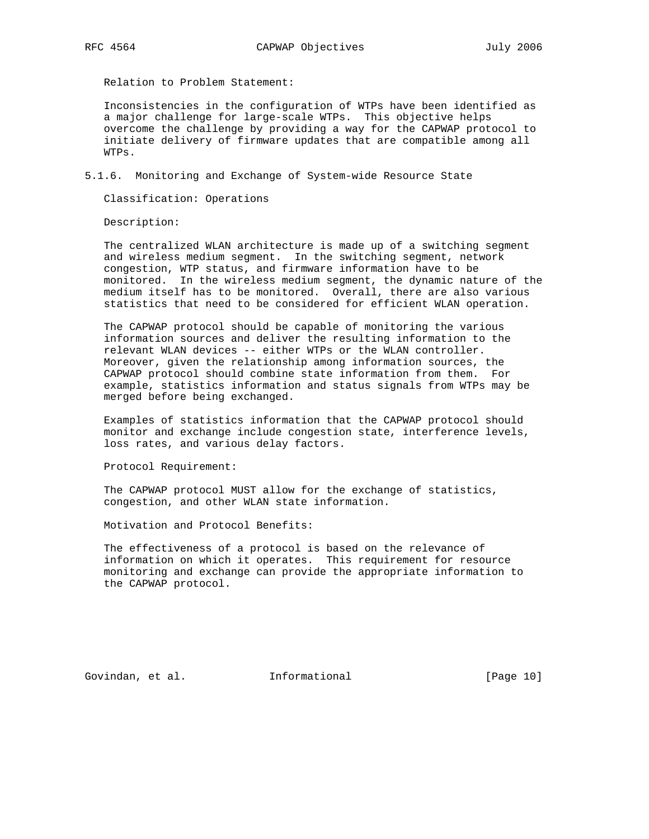Relation to Problem Statement:

 Inconsistencies in the configuration of WTPs have been identified as a major challenge for large-scale WTPs. This objective helps overcome the challenge by providing a way for the CAPWAP protocol to initiate delivery of firmware updates that are compatible among all WTPs.

5.1.6. Monitoring and Exchange of System-wide Resource State

Classification: Operations

Description:

 The centralized WLAN architecture is made up of a switching segment and wireless medium segment. In the switching segment, network congestion, WTP status, and firmware information have to be monitored. In the wireless medium segment, the dynamic nature of the medium itself has to be monitored. Overall, there are also various statistics that need to be considered for efficient WLAN operation.

 The CAPWAP protocol should be capable of monitoring the various information sources and deliver the resulting information to the relevant WLAN devices -- either WTPs or the WLAN controller. Moreover, given the relationship among information sources, the CAPWAP protocol should combine state information from them. For example, statistics information and status signals from WTPs may be merged before being exchanged.

 Examples of statistics information that the CAPWAP protocol should monitor and exchange include congestion state, interference levels, loss rates, and various delay factors.

Protocol Requirement:

 The CAPWAP protocol MUST allow for the exchange of statistics, congestion, and other WLAN state information.

Motivation and Protocol Benefits:

 The effectiveness of a protocol is based on the relevance of information on which it operates. This requirement for resource monitoring and exchange can provide the appropriate information to the CAPWAP protocol.

Govindan, et al. 1nformational 1999 [Page 10]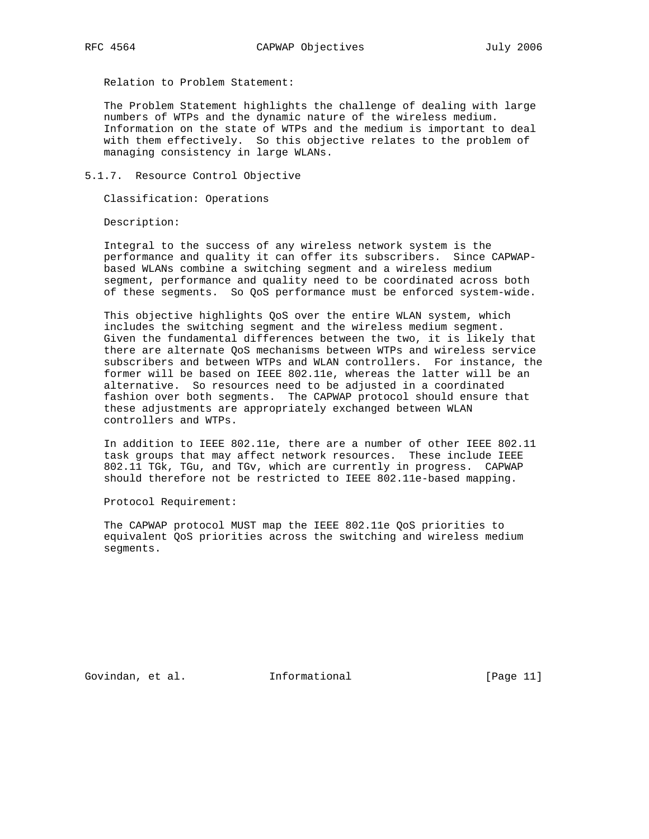Relation to Problem Statement:

 The Problem Statement highlights the challenge of dealing with large numbers of WTPs and the dynamic nature of the wireless medium. Information on the state of WTPs and the medium is important to deal with them effectively. So this objective relates to the problem of managing consistency in large WLANs.

5.1.7. Resource Control Objective

Classification: Operations

Description:

 Integral to the success of any wireless network system is the performance and quality it can offer its subscribers. Since CAPWAP based WLANs combine a switching segment and a wireless medium segment, performance and quality need to be coordinated across both of these segments. So QoS performance must be enforced system-wide.

 This objective highlights QoS over the entire WLAN system, which includes the switching segment and the wireless medium segment. Given the fundamental differences between the two, it is likely that there are alternate QoS mechanisms between WTPs and wireless service subscribers and between WTPs and WLAN controllers. For instance, the former will be based on IEEE 802.11e, whereas the latter will be an alternative. So resources need to be adjusted in a coordinated fashion over both segments. The CAPWAP protocol should ensure that these adjustments are appropriately exchanged between WLAN controllers and WTPs.

 In addition to IEEE 802.11e, there are a number of other IEEE 802.11 task groups that may affect network resources. These include IEEE 802.11 TGk, TGu, and TGv, which are currently in progress. CAPWAP should therefore not be restricted to IEEE 802.11e-based mapping.

Protocol Requirement:

 The CAPWAP protocol MUST map the IEEE 802.11e QoS priorities to equivalent QoS priorities across the switching and wireless medium segments.

Govindan, et al. **Informational** [Page 11]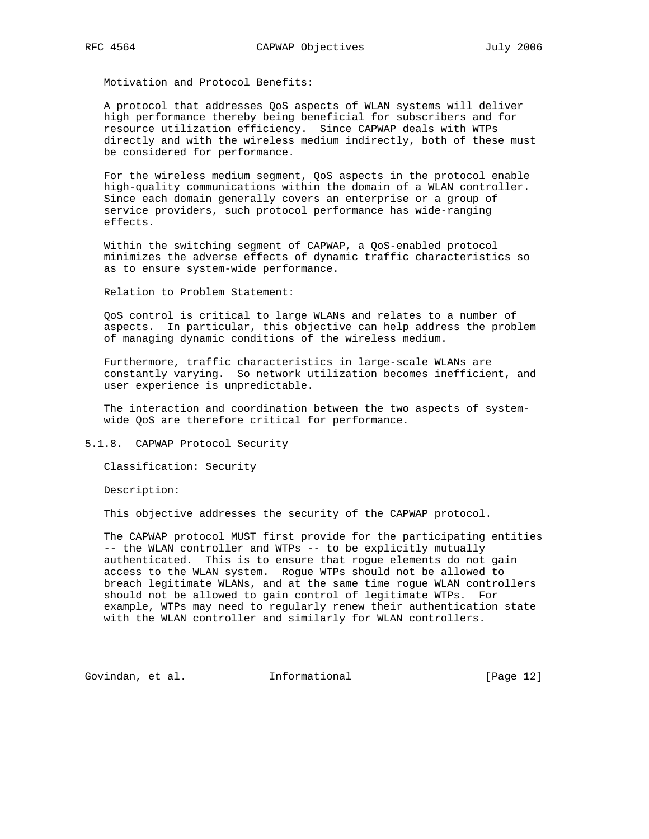A protocol that addresses QoS aspects of WLAN systems will deliver high performance thereby being beneficial for subscribers and for resource utilization efficiency. Since CAPWAP deals with WTPs directly and with the wireless medium indirectly, both of these must be considered for performance.

 For the wireless medium segment, QoS aspects in the protocol enable high-quality communications within the domain of a WLAN controller. Since each domain generally covers an enterprise or a group of service providers, such protocol performance has wide-ranging effects.

 Within the switching segment of CAPWAP, a QoS-enabled protocol minimizes the adverse effects of dynamic traffic characteristics so as to ensure system-wide performance.

Relation to Problem Statement:

 QoS control is critical to large WLANs and relates to a number of aspects. In particular, this objective can help address the problem of managing dynamic conditions of the wireless medium.

 Furthermore, traffic characteristics in large-scale WLANs are constantly varying. So network utilization becomes inefficient, and user experience is unpredictable.

 The interaction and coordination between the two aspects of system wide QoS are therefore critical for performance.

5.1.8. CAPWAP Protocol Security

Classification: Security

Description:

This objective addresses the security of the CAPWAP protocol.

 The CAPWAP protocol MUST first provide for the participating entities -- the WLAN controller and WTPs -- to be explicitly mutually authenticated. This is to ensure that rogue elements do not gain access to the WLAN system. Rogue WTPs should not be allowed to breach legitimate WLANs, and at the same time rogue WLAN controllers should not be allowed to gain control of legitimate WTPs. For example, WTPs may need to regularly renew their authentication state with the WLAN controller and similarly for WLAN controllers.

Govindan, et al. 1nformational 1999 [Page 12]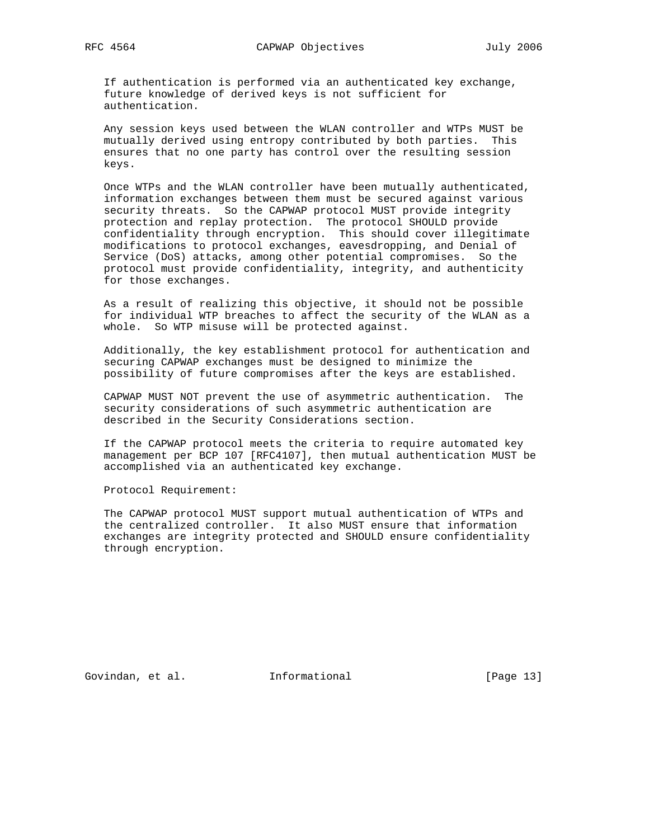If authentication is performed via an authenticated key exchange, future knowledge of derived keys is not sufficient for authentication.

 Any session keys used between the WLAN controller and WTPs MUST be mutually derived using entropy contributed by both parties. This ensures that no one party has control over the resulting session keys.

 Once WTPs and the WLAN controller have been mutually authenticated, information exchanges between them must be secured against various security threats. So the CAPWAP protocol MUST provide integrity protection and replay protection. The protocol SHOULD provide confidentiality through encryption. This should cover illegitimate modifications to protocol exchanges, eavesdropping, and Denial of Service (DoS) attacks, among other potential compromises. So the protocol must provide confidentiality, integrity, and authenticity for those exchanges.

 As a result of realizing this objective, it should not be possible for individual WTP breaches to affect the security of the WLAN as a whole. So WTP misuse will be protected against.

 Additionally, the key establishment protocol for authentication and securing CAPWAP exchanges must be designed to minimize the possibility of future compromises after the keys are established.

 CAPWAP MUST NOT prevent the use of asymmetric authentication. The security considerations of such asymmetric authentication are described in the Security Considerations section.

 If the CAPWAP protocol meets the criteria to require automated key management per BCP 107 [RFC4107], then mutual authentication MUST be accomplished via an authenticated key exchange.

Protocol Requirement:

 The CAPWAP protocol MUST support mutual authentication of WTPs and the centralized controller. It also MUST ensure that information exchanges are integrity protected and SHOULD ensure confidentiality through encryption.

Govindan, et al. 1nformational 1999 [Page 13]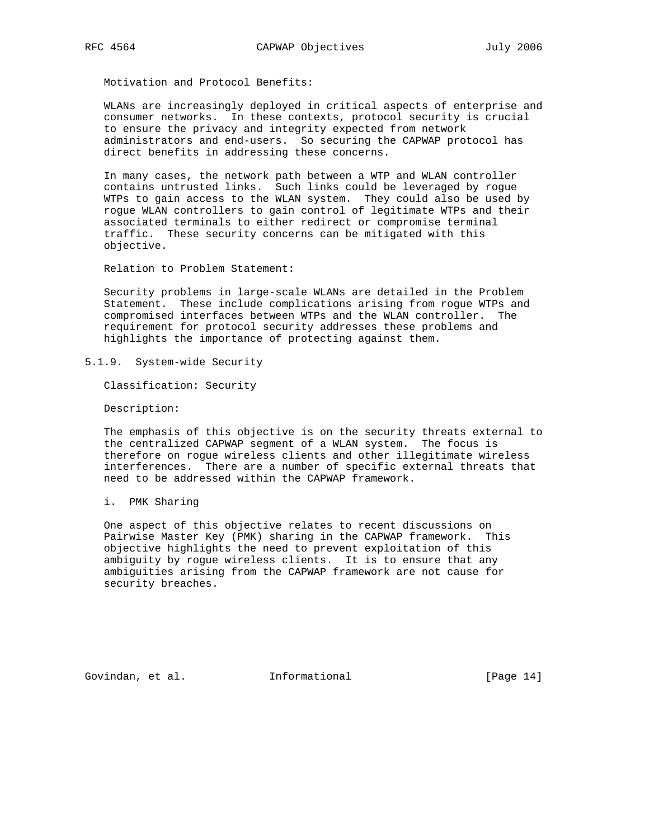WLANs are increasingly deployed in critical aspects of enterprise and consumer networks. In these contexts, protocol security is crucial to ensure the privacy and integrity expected from network administrators and end-users. So securing the CAPWAP protocol has direct benefits in addressing these concerns.

 In many cases, the network path between a WTP and WLAN controller contains untrusted links. Such links could be leveraged by rogue WTPs to gain access to the WLAN system. They could also be used by rogue WLAN controllers to gain control of legitimate WTPs and their associated terminals to either redirect or compromise terminal traffic. These security concerns can be mitigated with this objective.

Relation to Problem Statement:

 Security problems in large-scale WLANs are detailed in the Problem Statement. These include complications arising from rogue WTPs and compromised interfaces between WTPs and the WLAN controller. The requirement for protocol security addresses these problems and highlights the importance of protecting against them.

5.1.9. System-wide Security

Classification: Security

Description:

 The emphasis of this objective is on the security threats external to the centralized CAPWAP segment of a WLAN system. The focus is therefore on rogue wireless clients and other illegitimate wireless interferences. There are a number of specific external threats that need to be addressed within the CAPWAP framework.

i. PMK Sharing

 One aspect of this objective relates to recent discussions on Pairwise Master Key (PMK) sharing in the CAPWAP framework. This objective highlights the need to prevent exploitation of this ambiguity by rogue wireless clients. It is to ensure that any ambiguities arising from the CAPWAP framework are not cause for security breaches.

Govindan, et al. 1nformational 1999 [Page 14]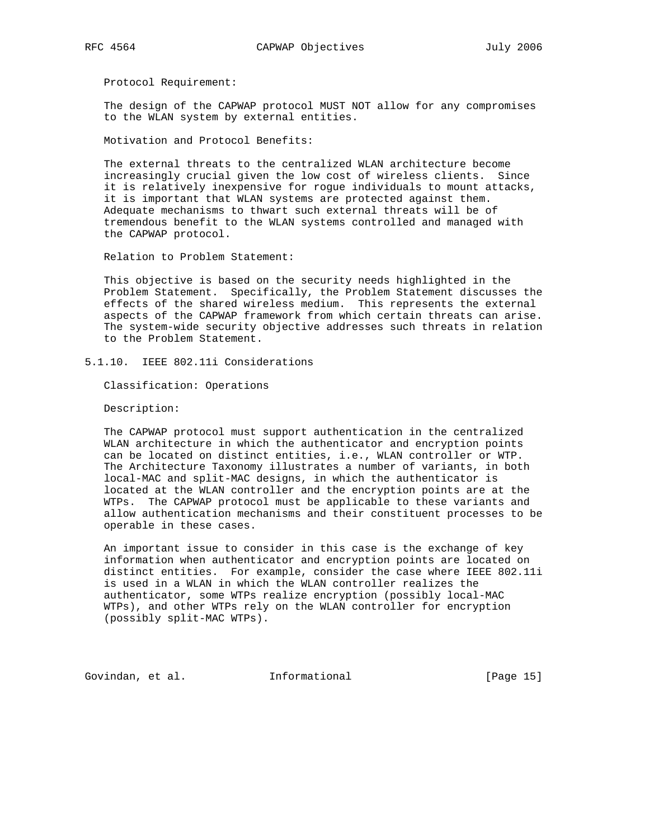Protocol Requirement:

 The design of the CAPWAP protocol MUST NOT allow for any compromises to the WLAN system by external entities.

Motivation and Protocol Benefits:

 The external threats to the centralized WLAN architecture become increasingly crucial given the low cost of wireless clients. Since it is relatively inexpensive for rogue individuals to mount attacks, it is important that WLAN systems are protected against them. Adequate mechanisms to thwart such external threats will be of tremendous benefit to the WLAN systems controlled and managed with the CAPWAP protocol.

Relation to Problem Statement:

 This objective is based on the security needs highlighted in the Problem Statement. Specifically, the Problem Statement discusses the effects of the shared wireless medium. This represents the external aspects of the CAPWAP framework from which certain threats can arise. The system-wide security objective addresses such threats in relation to the Problem Statement.

5.1.10. IEEE 802.11i Considerations

Classification: Operations

Description:

 The CAPWAP protocol must support authentication in the centralized WLAN architecture in which the authenticator and encryption points can be located on distinct entities, i.e., WLAN controller or WTP. The Architecture Taxonomy illustrates a number of variants, in both local-MAC and split-MAC designs, in which the authenticator is located at the WLAN controller and the encryption points are at the WTPs. The CAPWAP protocol must be applicable to these variants and allow authentication mechanisms and their constituent processes to be operable in these cases.

 An important issue to consider in this case is the exchange of key information when authenticator and encryption points are located on distinct entities. For example, consider the case where IEEE 802.11i is used in a WLAN in which the WLAN controller realizes the authenticator, some WTPs realize encryption (possibly local-MAC WTPs), and other WTPs rely on the WLAN controller for encryption (possibly split-MAC WTPs).

Govindan, et al. 1nformational 1999 [Page 15]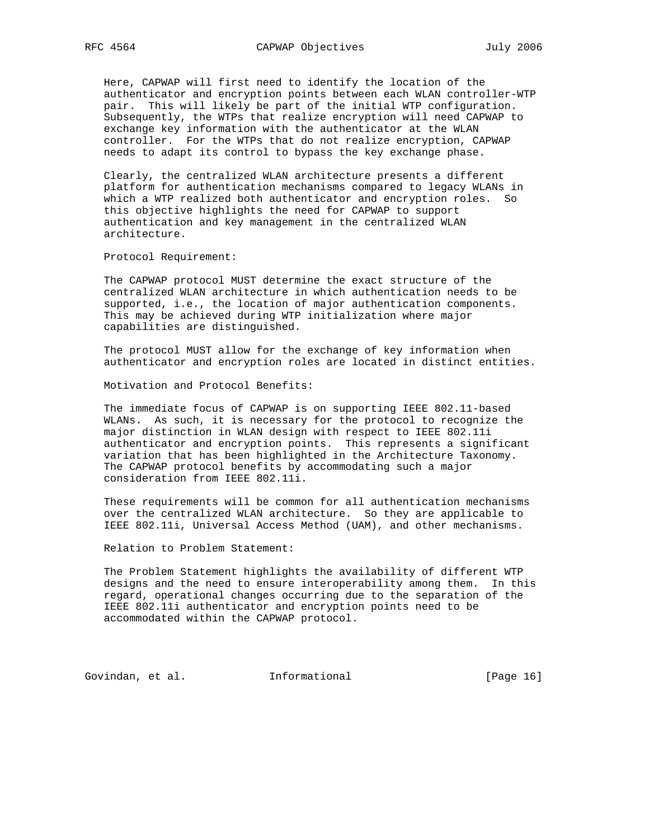Here, CAPWAP will first need to identify the location of the authenticator and encryption points between each WLAN controller-WTP pair. This will likely be part of the initial WTP configuration. Subsequently, the WTPs that realize encryption will need CAPWAP to exchange key information with the authenticator at the WLAN controller. For the WTPs that do not realize encryption, CAPWAP needs to adapt its control to bypass the key exchange phase.

 Clearly, the centralized WLAN architecture presents a different platform for authentication mechanisms compared to legacy WLANs in which a WTP realized both authenticator and encryption roles. So this objective highlights the need for CAPWAP to support authentication and key management in the centralized WLAN architecture.

Protocol Requirement:

 The CAPWAP protocol MUST determine the exact structure of the centralized WLAN architecture in which authentication needs to be supported, i.e., the location of major authentication components. This may be achieved during WTP initialization where major capabilities are distinguished.

 The protocol MUST allow for the exchange of key information when authenticator and encryption roles are located in distinct entities.

Motivation and Protocol Benefits:

 The immediate focus of CAPWAP is on supporting IEEE 802.11-based WLANs. As such, it is necessary for the protocol to recognize the major distinction in WLAN design with respect to IEEE 802.11i authenticator and encryption points. This represents a significant variation that has been highlighted in the Architecture Taxonomy. The CAPWAP protocol benefits by accommodating such a major consideration from IEEE 802.11i.

 These requirements will be common for all authentication mechanisms over the centralized WLAN architecture. So they are applicable to IEEE 802.11i, Universal Access Method (UAM), and other mechanisms.

Relation to Problem Statement:

 The Problem Statement highlights the availability of different WTP designs and the need to ensure interoperability among them. In this regard, operational changes occurring due to the separation of the IEEE 802.11i authenticator and encryption points need to be accommodated within the CAPWAP protocol.

Govindan, et al. 1nformational [Page 16]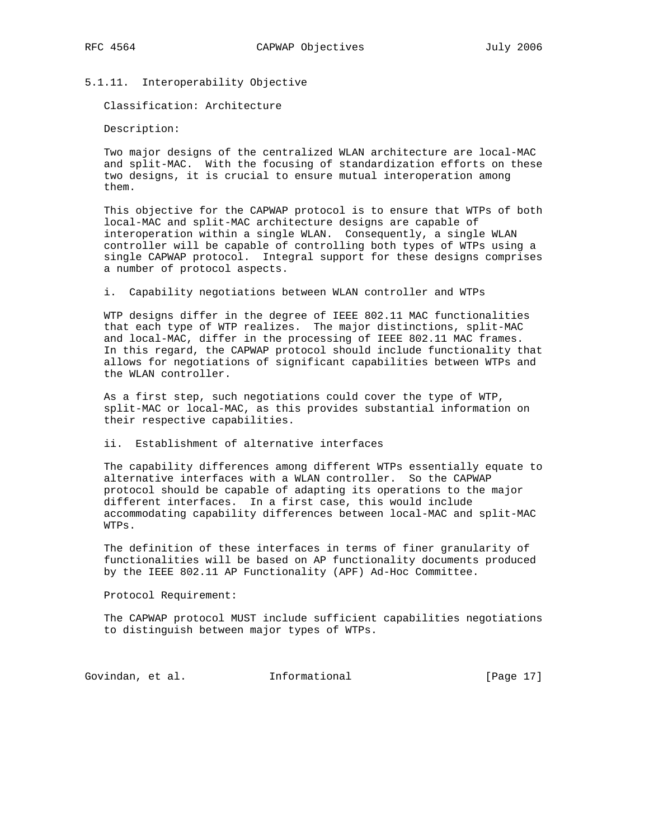5.1.11. Interoperability Objective

Classification: Architecture

Description:

 Two major designs of the centralized WLAN architecture are local-MAC and split-MAC. With the focusing of standardization efforts on these two designs, it is crucial to ensure mutual interoperation among them.

 This objective for the CAPWAP protocol is to ensure that WTPs of both local-MAC and split-MAC architecture designs are capable of interoperation within a single WLAN. Consequently, a single WLAN controller will be capable of controlling both types of WTPs using a single CAPWAP protocol. Integral support for these designs comprises a number of protocol aspects.

i. Capability negotiations between WLAN controller and WTPs

 WTP designs differ in the degree of IEEE 802.11 MAC functionalities that each type of WTP realizes. The major distinctions, split-MAC and local-MAC, differ in the processing of IEEE 802.11 MAC frames. In this regard, the CAPWAP protocol should include functionality that allows for negotiations of significant capabilities between WTPs and the WLAN controller.

 As a first step, such negotiations could cover the type of WTP, split-MAC or local-MAC, as this provides substantial information on their respective capabilities.

ii. Establishment of alternative interfaces

 The capability differences among different WTPs essentially equate to alternative interfaces with a WLAN controller. So the CAPWAP protocol should be capable of adapting its operations to the major different interfaces. In a first case, this would include accommodating capability differences between local-MAC and split-MAC WTPs.

 The definition of these interfaces in terms of finer granularity of functionalities will be based on AP functionality documents produced by the IEEE 802.11 AP Functionality (APF) Ad-Hoc Committee.

Protocol Requirement:

 The CAPWAP protocol MUST include sufficient capabilities negotiations to distinguish between major types of WTPs.

Govindan, et al. 1nformational 1999 [Page 17]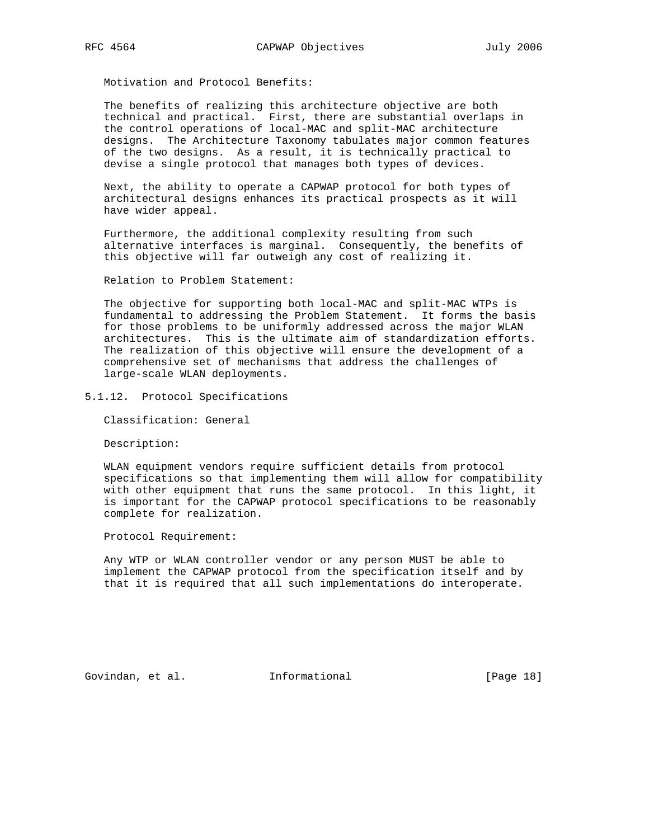The benefits of realizing this architecture objective are both technical and practical. First, there are substantial overlaps in the control operations of local-MAC and split-MAC architecture designs. The Architecture Taxonomy tabulates major common features of the two designs. As a result, it is technically practical to devise a single protocol that manages both types of devices.

 Next, the ability to operate a CAPWAP protocol for both types of architectural designs enhances its practical prospects as it will have wider appeal.

 Furthermore, the additional complexity resulting from such alternative interfaces is marginal. Consequently, the benefits of this objective will far outweigh any cost of realizing it.

Relation to Problem Statement:

 The objective for supporting both local-MAC and split-MAC WTPs is fundamental to addressing the Problem Statement. It forms the basis for those problems to be uniformly addressed across the major WLAN architectures. This is the ultimate aim of standardization efforts. The realization of this objective will ensure the development of a comprehensive set of mechanisms that address the challenges of large-scale WLAN deployments.

5.1.12. Protocol Specifications

Classification: General

Description:

 WLAN equipment vendors require sufficient details from protocol specifications so that implementing them will allow for compatibility with other equipment that runs the same protocol. In this light, it is important for the CAPWAP protocol specifications to be reasonably complete for realization.

Protocol Requirement:

 Any WTP or WLAN controller vendor or any person MUST be able to implement the CAPWAP protocol from the specification itself and by that it is required that all such implementations do interoperate.

Govindan, et al. 1nformational 1999 [Page 18]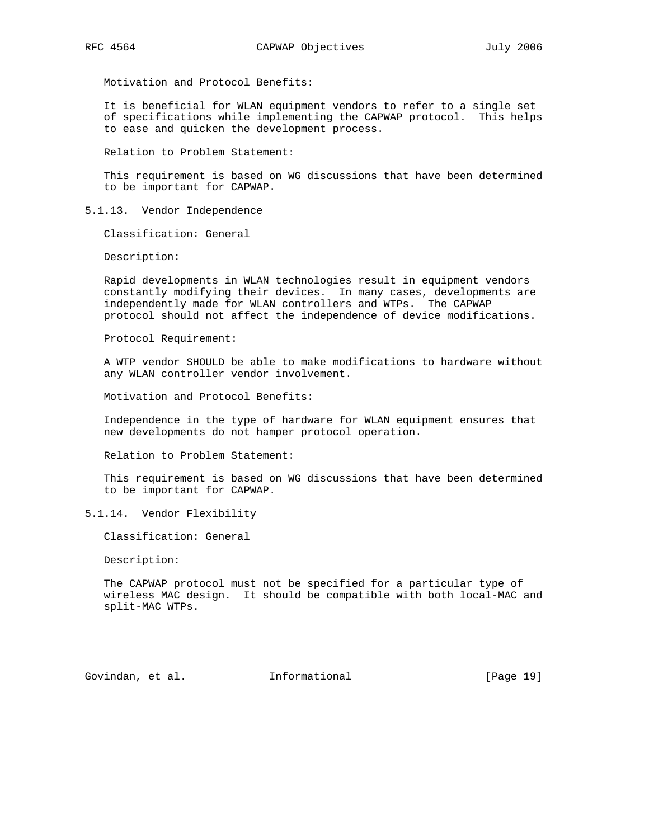It is beneficial for WLAN equipment vendors to refer to a single set of specifications while implementing the CAPWAP protocol. This helps to ease and quicken the development process.

Relation to Problem Statement:

 This requirement is based on WG discussions that have been determined to be important for CAPWAP.

5.1.13. Vendor Independence

Classification: General

Description:

 Rapid developments in WLAN technologies result in equipment vendors constantly modifying their devices. In many cases, developments are independently made for WLAN controllers and WTPs. The CAPWAP protocol should not affect the independence of device modifications.

Protocol Requirement:

 A WTP vendor SHOULD be able to make modifications to hardware without any WLAN controller vendor involvement.

Motivation and Protocol Benefits:

 Independence in the type of hardware for WLAN equipment ensures that new developments do not hamper protocol operation.

Relation to Problem Statement:

 This requirement is based on WG discussions that have been determined to be important for CAPWAP.

5.1.14. Vendor Flexibility

Classification: General

Description:

 The CAPWAP protocol must not be specified for a particular type of wireless MAC design. It should be compatible with both local-MAC and split-MAC WTPs.

Govindan, et al. **Informational** [Page 19]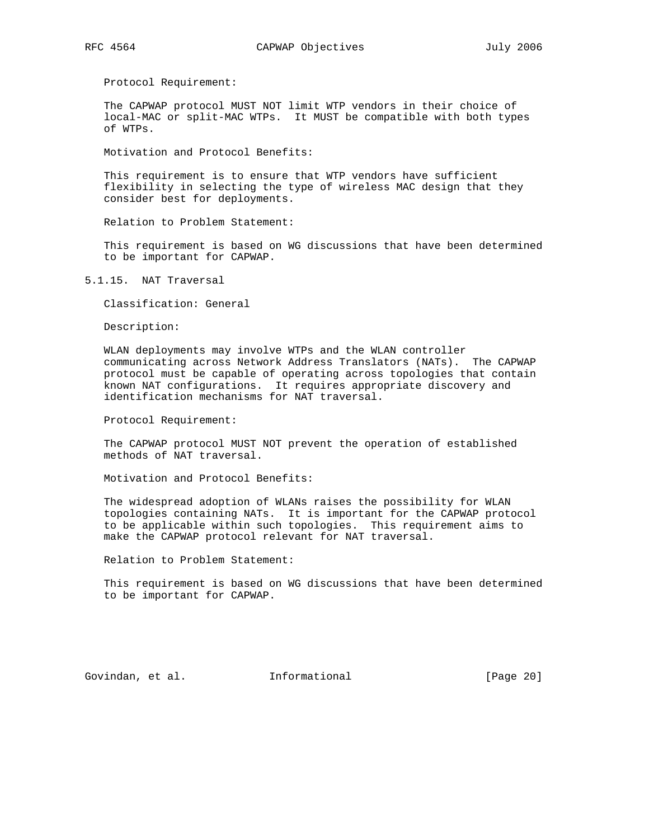Protocol Requirement:

 The CAPWAP protocol MUST NOT limit WTP vendors in their choice of local-MAC or split-MAC WTPs. It MUST be compatible with both types of WTPs.

Motivation and Protocol Benefits:

 This requirement is to ensure that WTP vendors have sufficient flexibility in selecting the type of wireless MAC design that they consider best for deployments.

Relation to Problem Statement:

 This requirement is based on WG discussions that have been determined to be important for CAPWAP.

5.1.15. NAT Traversal

Classification: General

Description:

 WLAN deployments may involve WTPs and the WLAN controller communicating across Network Address Translators (NATs). The CAPWAP protocol must be capable of operating across topologies that contain known NAT configurations. It requires appropriate discovery and identification mechanisms for NAT traversal.

Protocol Requirement:

 The CAPWAP protocol MUST NOT prevent the operation of established methods of NAT traversal.

Motivation and Protocol Benefits:

 The widespread adoption of WLANs raises the possibility for WLAN topologies containing NATs. It is important for the CAPWAP protocol to be applicable within such topologies. This requirement aims to make the CAPWAP protocol relevant for NAT traversal.

Relation to Problem Statement:

 This requirement is based on WG discussions that have been determined to be important for CAPWAP.

Govindan, et al. 1nformational [Page 20]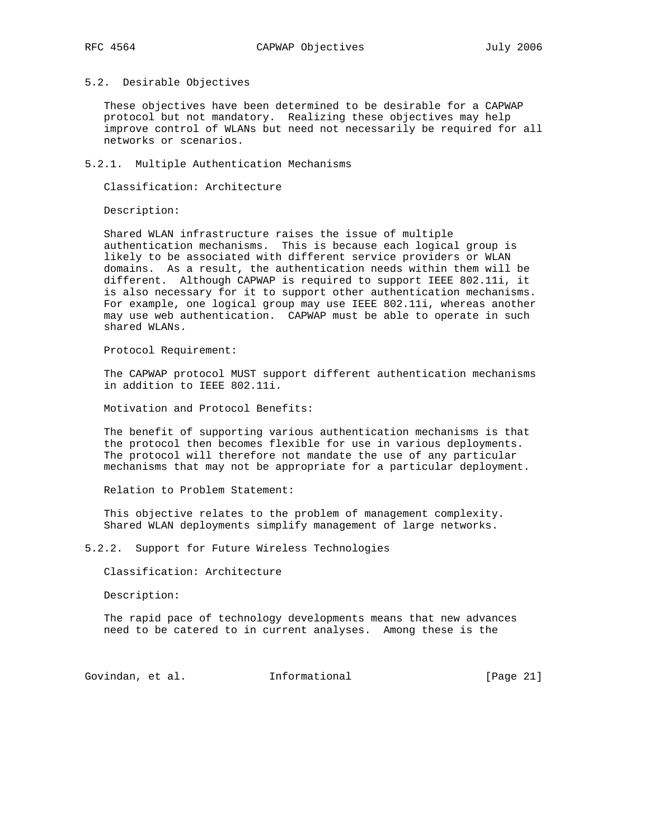### 5.2. Desirable Objectives

 These objectives have been determined to be desirable for a CAPWAP protocol but not mandatory. Realizing these objectives may help improve control of WLANs but need not necessarily be required for all networks or scenarios.

#### 5.2.1. Multiple Authentication Mechanisms

Classification: Architecture

Description:

 Shared WLAN infrastructure raises the issue of multiple authentication mechanisms. This is because each logical group is likely to be associated with different service providers or WLAN domains. As a result, the authentication needs within them will be different. Although CAPWAP is required to support IEEE 802.11i, it is also necessary for it to support other authentication mechanisms. For example, one logical group may use IEEE 802.11i, whereas another may use web authentication. CAPWAP must be able to operate in such shared WLANs.

Protocol Requirement:

 The CAPWAP protocol MUST support different authentication mechanisms in addition to IEEE 802.11i.

Motivation and Protocol Benefits:

 The benefit of supporting various authentication mechanisms is that the protocol then becomes flexible for use in various deployments. The protocol will therefore not mandate the use of any particular mechanisms that may not be appropriate for a particular deployment.

Relation to Problem Statement:

 This objective relates to the problem of management complexity. Shared WLAN deployments simplify management of large networks.

5.2.2. Support for Future Wireless Technologies

Classification: Architecture

Description:

 The rapid pace of technology developments means that new advances need to be catered to in current analyses. Among these is the

Govindan, et al. 1nformational [Page 21]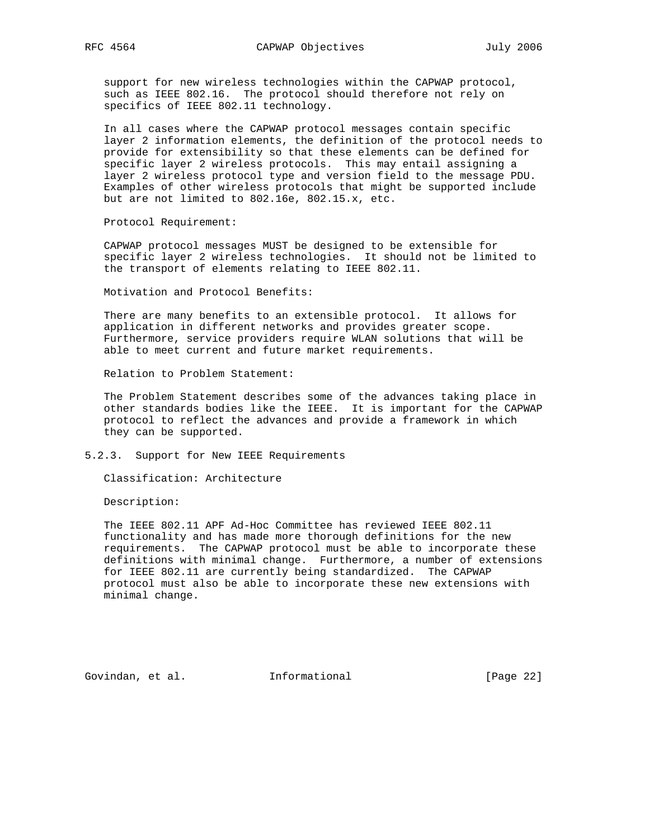support for new wireless technologies within the CAPWAP protocol, such as IEEE 802.16. The protocol should therefore not rely on specifics of IEEE 802.11 technology.

 In all cases where the CAPWAP protocol messages contain specific layer 2 information elements, the definition of the protocol needs to provide for extensibility so that these elements can be defined for specific layer 2 wireless protocols. This may entail assigning a layer 2 wireless protocol type and version field to the message PDU. Examples of other wireless protocols that might be supported include but are not limited to 802.16e, 802.15.x, etc.

Protocol Requirement:

 CAPWAP protocol messages MUST be designed to be extensible for specific layer 2 wireless technologies. It should not be limited to the transport of elements relating to IEEE 802.11.

Motivation and Protocol Benefits:

 There are many benefits to an extensible protocol. It allows for application in different networks and provides greater scope. Furthermore, service providers require WLAN solutions that will be able to meet current and future market requirements.

Relation to Problem Statement:

 The Problem Statement describes some of the advances taking place in other standards bodies like the IEEE. It is important for the CAPWAP protocol to reflect the advances and provide a framework in which they can be supported.

5.2.3. Support for New IEEE Requirements

Classification: Architecture

Description:

 The IEEE 802.11 APF Ad-Hoc Committee has reviewed IEEE 802.11 functionality and has made more thorough definitions for the new requirements. The CAPWAP protocol must be able to incorporate these definitions with minimal change. Furthermore, a number of extensions for IEEE 802.11 are currently being standardized. The CAPWAP protocol must also be able to incorporate these new extensions with minimal change.

Govindan, et al. 1nformational 1999 [Page 22]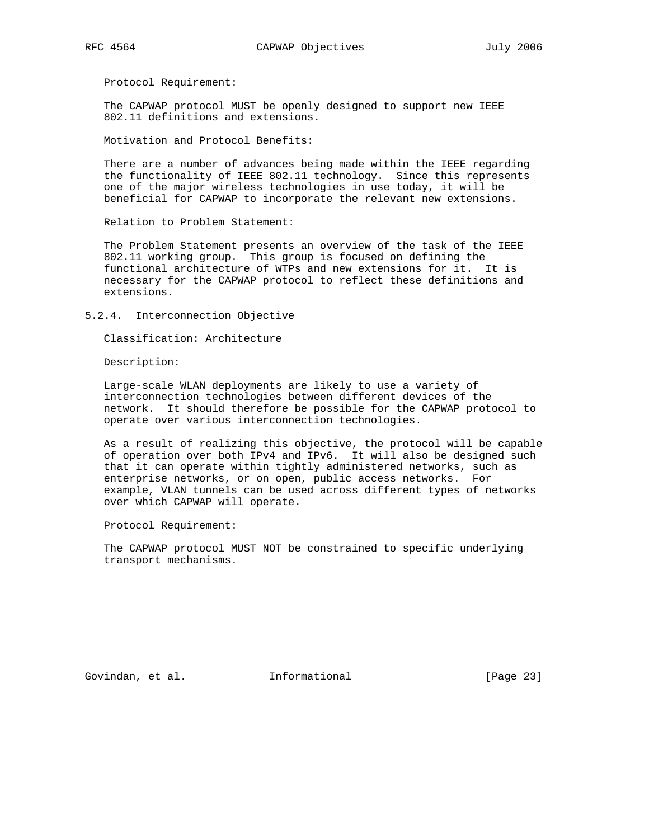Protocol Requirement:

 The CAPWAP protocol MUST be openly designed to support new IEEE 802.11 definitions and extensions.

Motivation and Protocol Benefits:

 There are a number of advances being made within the IEEE regarding the functionality of IEEE 802.11 technology. Since this represents one of the major wireless technologies in use today, it will be beneficial for CAPWAP to incorporate the relevant new extensions.

Relation to Problem Statement:

 The Problem Statement presents an overview of the task of the IEEE 802.11 working group. This group is focused on defining the functional architecture of WTPs and new extensions for it. It is necessary for the CAPWAP protocol to reflect these definitions and extensions.

5.2.4. Interconnection Objective

Classification: Architecture

Description:

 Large-scale WLAN deployments are likely to use a variety of interconnection technologies between different devices of the network. It should therefore be possible for the CAPWAP protocol to operate over various interconnection technologies.

 As a result of realizing this objective, the protocol will be capable of operation over both IPv4 and IPv6. It will also be designed such that it can operate within tightly administered networks, such as enterprise networks, or on open, public access networks. For example, VLAN tunnels can be used across different types of networks over which CAPWAP will operate.

Protocol Requirement:

 The CAPWAP protocol MUST NOT be constrained to specific underlying transport mechanisms.

Govindan, et al. 1nformational 1999 [Page 23]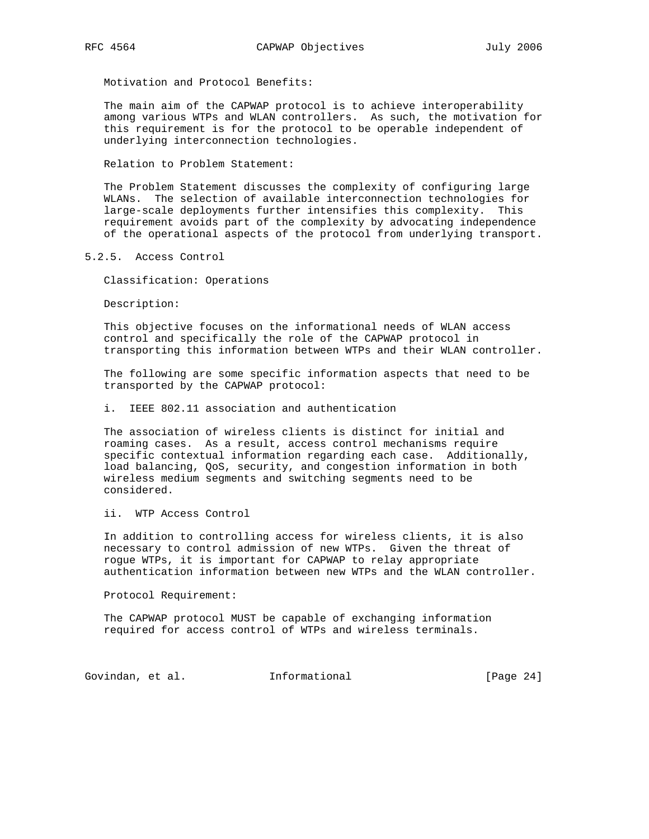The main aim of the CAPWAP protocol is to achieve interoperability among various WTPs and WLAN controllers. As such, the motivation for this requirement is for the protocol to be operable independent of underlying interconnection technologies.

Relation to Problem Statement:

 The Problem Statement discusses the complexity of configuring large WLANs. The selection of available interconnection technologies for large-scale deployments further intensifies this complexity. This requirement avoids part of the complexity by advocating independence of the operational aspects of the protocol from underlying transport.

5.2.5. Access Control

Classification: Operations

Description:

 This objective focuses on the informational needs of WLAN access control and specifically the role of the CAPWAP protocol in transporting this information between WTPs and their WLAN controller.

 The following are some specific information aspects that need to be transported by the CAPWAP protocol:

i. IEEE 802.11 association and authentication

 The association of wireless clients is distinct for initial and roaming cases. As a result, access control mechanisms require specific contextual information regarding each case. Additionally, load balancing, QoS, security, and congestion information in both wireless medium segments and switching segments need to be considered.

ii. WTP Access Control

 In addition to controlling access for wireless clients, it is also necessary to control admission of new WTPs. Given the threat of rogue WTPs, it is important for CAPWAP to relay appropriate authentication information between new WTPs and the WLAN controller.

Protocol Requirement:

 The CAPWAP protocol MUST be capable of exchanging information required for access control of WTPs and wireless terminals.

Govindan, et al. 1nformational 1999 [Page 24]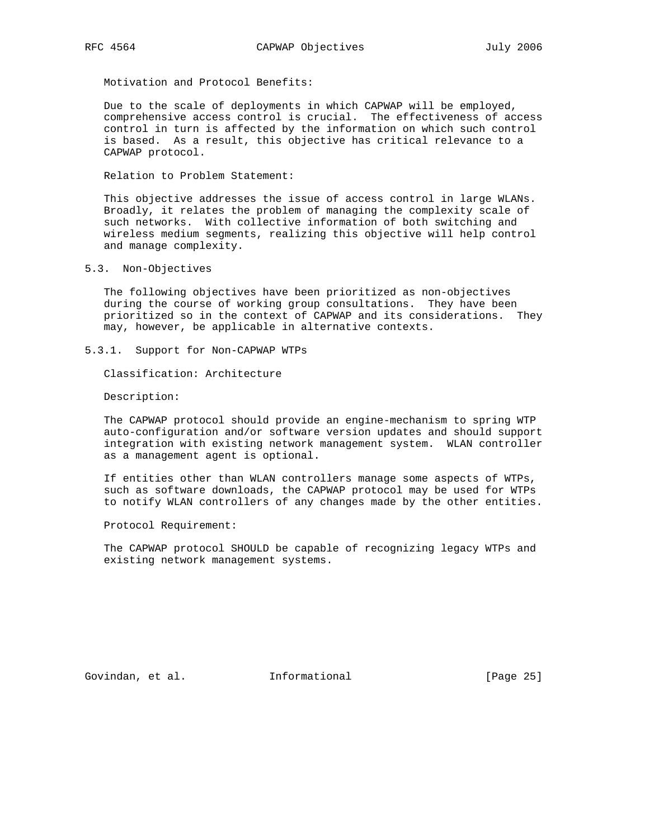Due to the scale of deployments in which CAPWAP will be employed, comprehensive access control is crucial. The effectiveness of access control in turn is affected by the information on which such control is based. As a result, this objective has critical relevance to a CAPWAP protocol.

Relation to Problem Statement:

 This objective addresses the issue of access control in large WLANs. Broadly, it relates the problem of managing the complexity scale of such networks. With collective information of both switching and wireless medium segments, realizing this objective will help control and manage complexity.

5.3. Non-Objectives

 The following objectives have been prioritized as non-objectives during the course of working group consultations. They have been prioritized so in the context of CAPWAP and its considerations. They may, however, be applicable in alternative contexts.

5.3.1. Support for Non-CAPWAP WTPs

Classification: Architecture

Description:

 The CAPWAP protocol should provide an engine-mechanism to spring WTP auto-configuration and/or software version updates and should support integration with existing network management system. WLAN controller as a management agent is optional.

 If entities other than WLAN controllers manage some aspects of WTPs, such as software downloads, the CAPWAP protocol may be used for WTPs to notify WLAN controllers of any changes made by the other entities.

Protocol Requirement:

 The CAPWAP protocol SHOULD be capable of recognizing legacy WTPs and existing network management systems.

Govindan, et al. 1nformational 1999 [Page 25]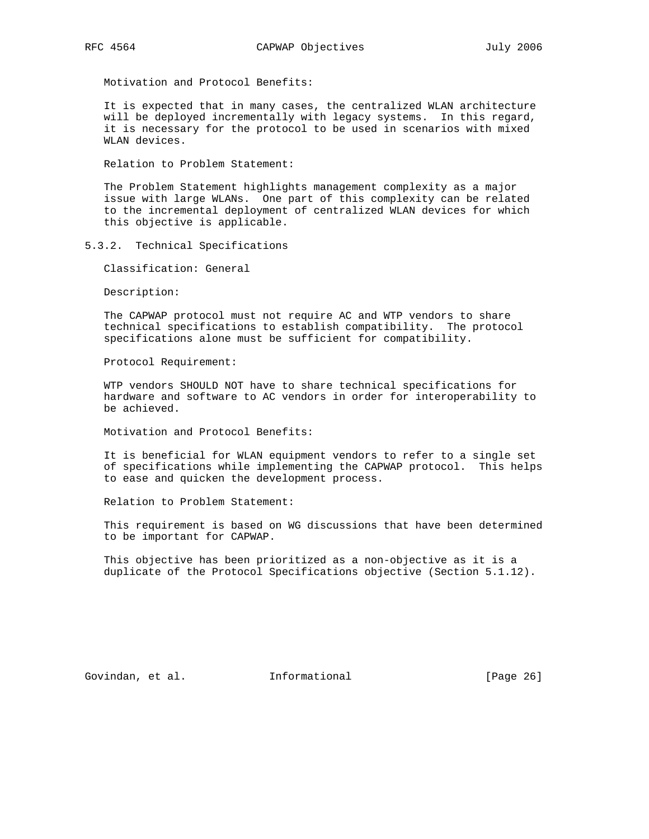It is expected that in many cases, the centralized WLAN architecture will be deployed incrementally with legacy systems. In this regard, it is necessary for the protocol to be used in scenarios with mixed WLAN devices.

Relation to Problem Statement:

 The Problem Statement highlights management complexity as a major issue with large WLANs. One part of this complexity can be related to the incremental deployment of centralized WLAN devices for which this objective is applicable.

5.3.2. Technical Specifications

Classification: General

Description:

 The CAPWAP protocol must not require AC and WTP vendors to share technical specifications to establish compatibility. The protocol specifications alone must be sufficient for compatibility.

Protocol Requirement:

 WTP vendors SHOULD NOT have to share technical specifications for hardware and software to AC vendors in order for interoperability to be achieved.

Motivation and Protocol Benefits:

 It is beneficial for WLAN equipment vendors to refer to a single set of specifications while implementing the CAPWAP protocol. This helps to ease and quicken the development process.

Relation to Problem Statement:

 This requirement is based on WG discussions that have been determined to be important for CAPWAP.

 This objective has been prioritized as a non-objective as it is a duplicate of the Protocol Specifications objective (Section 5.1.12).

Govindan, et al. 1nformational 1999 [Page 26]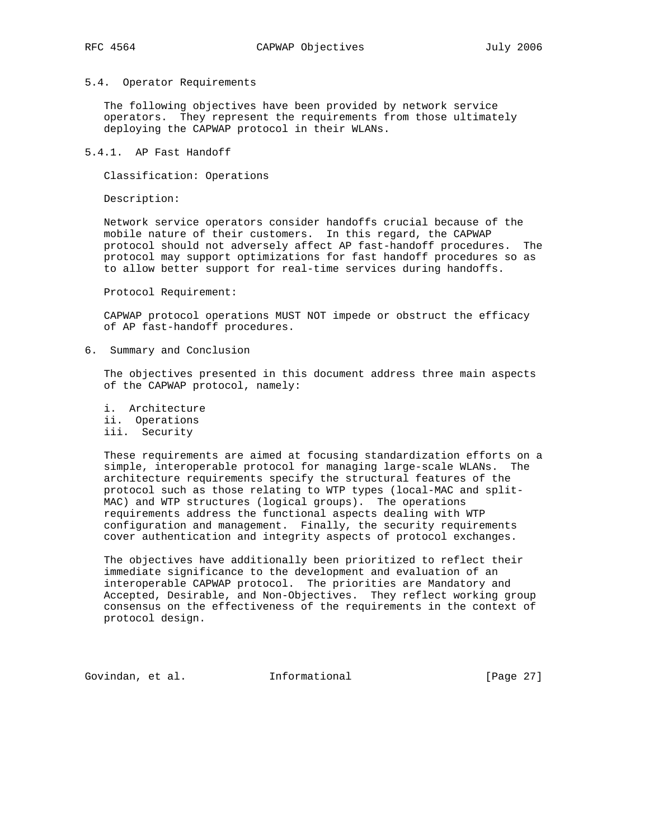### 5.4. Operator Requirements

 The following objectives have been provided by network service operators. They represent the requirements from those ultimately deploying the CAPWAP protocol in their WLANs.

5.4.1. AP Fast Handoff

Classification: Operations

Description:

 Network service operators consider handoffs crucial because of the mobile nature of their customers. In this regard, the CAPWAP protocol should not adversely affect AP fast-handoff procedures. The protocol may support optimizations for fast handoff procedures so as to allow better support for real-time services during handoffs.

Protocol Requirement:

 CAPWAP protocol operations MUST NOT impede or obstruct the efficacy of AP fast-handoff procedures.

6. Summary and Conclusion

 The objectives presented in this document address three main aspects of the CAPWAP protocol, namely:

 i. Architecture ii. Operations iii. Security

 These requirements are aimed at focusing standardization efforts on a simple, interoperable protocol for managing large-scale WLANs. The architecture requirements specify the structural features of the protocol such as those relating to WTP types (local-MAC and split- MAC) and WTP structures (logical groups). The operations requirements address the functional aspects dealing with WTP configuration and management. Finally, the security requirements cover authentication and integrity aspects of protocol exchanges.

 The objectives have additionally been prioritized to reflect their immediate significance to the development and evaluation of an interoperable CAPWAP protocol. The priorities are Mandatory and Accepted, Desirable, and Non-Objectives. They reflect working group consensus on the effectiveness of the requirements in the context of protocol design.

Govindan, et al. **Informational** [Page 27]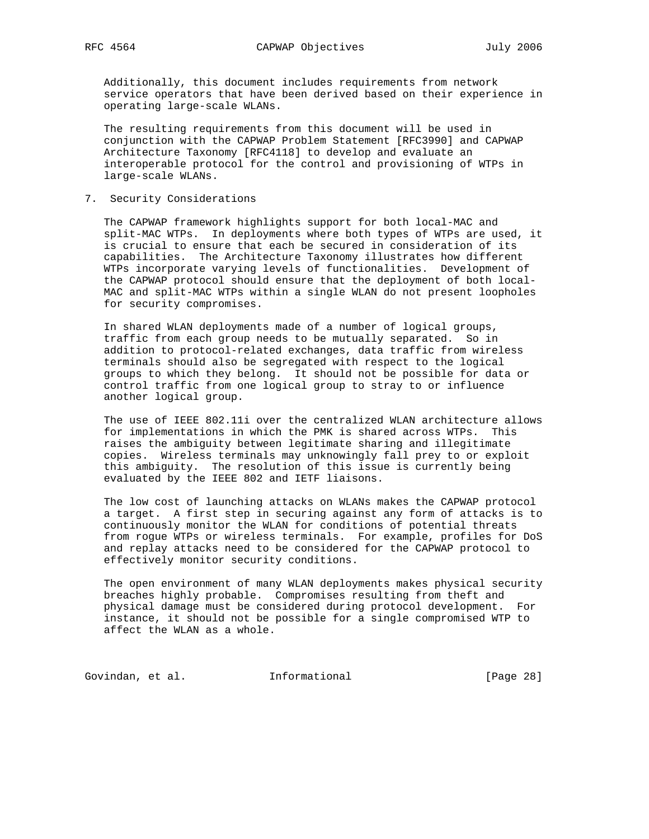Additionally, this document includes requirements from network service operators that have been derived based on their experience in operating large-scale WLANs.

 The resulting requirements from this document will be used in conjunction with the CAPWAP Problem Statement [RFC3990] and CAPWAP Architecture Taxonomy [RFC4118] to develop and evaluate an interoperable protocol for the control and provisioning of WTPs in large-scale WLANs.

7. Security Considerations

 The CAPWAP framework highlights support for both local-MAC and split-MAC WTPs. In deployments where both types of WTPs are used, it is crucial to ensure that each be secured in consideration of its capabilities. The Architecture Taxonomy illustrates how different WTPs incorporate varying levels of functionalities. Development of the CAPWAP protocol should ensure that the deployment of both local- MAC and split-MAC WTPs within a single WLAN do not present loopholes for security compromises.

 In shared WLAN deployments made of a number of logical groups, traffic from each group needs to be mutually separated. So in addition to protocol-related exchanges, data traffic from wireless terminals should also be segregated with respect to the logical groups to which they belong. It should not be possible for data or control traffic from one logical group to stray to or influence another logical group.

 The use of IEEE 802.11i over the centralized WLAN architecture allows for implementations in which the PMK is shared across WTPs. This raises the ambiguity between legitimate sharing and illegitimate copies. Wireless terminals may unknowingly fall prey to or exploit this ambiguity. The resolution of this issue is currently being evaluated by the IEEE 802 and IETF liaisons.

 The low cost of launching attacks on WLANs makes the CAPWAP protocol a target. A first step in securing against any form of attacks is to continuously monitor the WLAN for conditions of potential threats from rogue WTPs or wireless terminals. For example, profiles for DoS and replay attacks need to be considered for the CAPWAP protocol to effectively monitor security conditions.

 The open environment of many WLAN deployments makes physical security breaches highly probable. Compromises resulting from theft and physical damage must be considered during protocol development. For instance, it should not be possible for a single compromised WTP to affect the WLAN as a whole.

Govindan, et al. 1nformational 1999 [Page 28]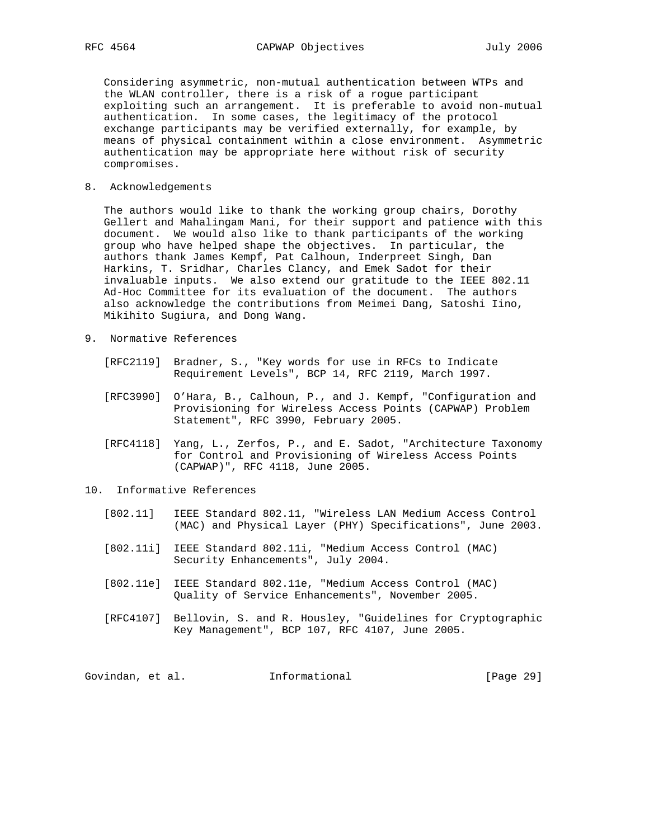Considering asymmetric, non-mutual authentication between WTPs and the WLAN controller, there is a risk of a rogue participant exploiting such an arrangement. It is preferable to avoid non-mutual authentication. In some cases, the legitimacy of the protocol exchange participants may be verified externally, for example, by means of physical containment within a close environment. Asymmetric authentication may be appropriate here without risk of security compromises.

8. Acknowledgements

 The authors would like to thank the working group chairs, Dorothy Gellert and Mahalingam Mani, for their support and patience with this document. We would also like to thank participants of the working group who have helped shape the objectives. In particular, the authors thank James Kempf, Pat Calhoun, Inderpreet Singh, Dan Harkins, T. Sridhar, Charles Clancy, and Emek Sadot for their invaluable inputs. We also extend our gratitude to the IEEE 802.11 Ad-Hoc Committee for its evaluation of the document. The authors also acknowledge the contributions from Meimei Dang, Satoshi Iino, Mikihito Sugiura, and Dong Wang.

- 9. Normative References
	- [RFC2119] Bradner, S., "Key words for use in RFCs to Indicate Requirement Levels", BCP 14, RFC 2119, March 1997.
	- [RFC3990] O'Hara, B., Calhoun, P., and J. Kempf, "Configuration and Provisioning for Wireless Access Points (CAPWAP) Problem Statement", RFC 3990, February 2005.
	- [RFC4118] Yang, L., Zerfos, P., and E. Sadot, "Architecture Taxonomy for Control and Provisioning of Wireless Access Points (CAPWAP)", RFC 4118, June 2005.
- 10. Informative References
	- [802.11] IEEE Standard 802.11, "Wireless LAN Medium Access Control (MAC) and Physical Layer (PHY) Specifications", June 2003.
	- [802.11i] IEEE Standard 802.11i, "Medium Access Control (MAC) Security Enhancements", July 2004.
	- [802.11e] IEEE Standard 802.11e, "Medium Access Control (MAC) Quality of Service Enhancements", November 2005.
	- [RFC4107] Bellovin, S. and R. Housley, "Guidelines for Cryptographic Key Management", BCP 107, RFC 4107, June 2005.

Govindan, et al. 1nformational [Page 29]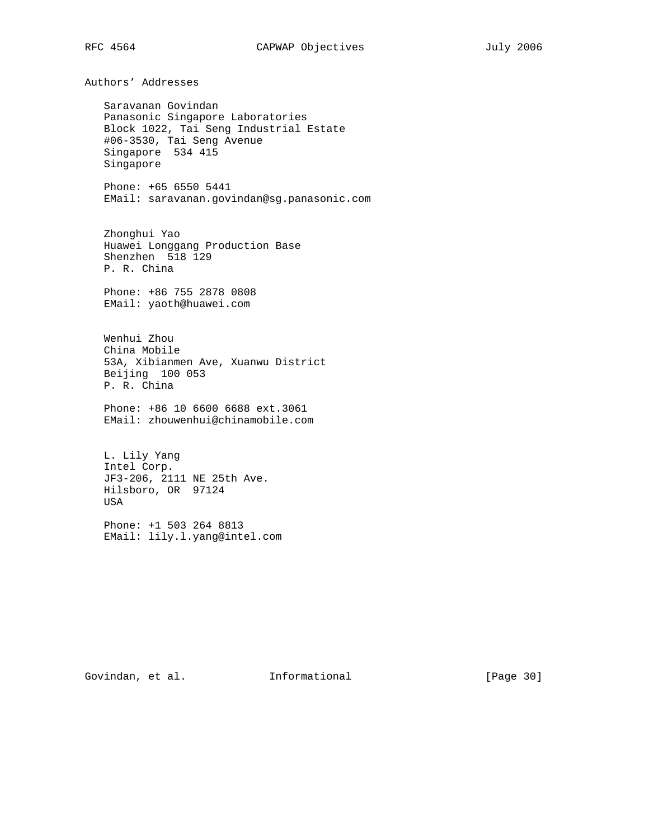Authors' Addresses

 Saravanan Govindan Panasonic Singapore Laboratories Block 1022, Tai Seng Industrial Estate #06-3530, Tai Seng Avenue Singapore 534 415 Singapore

 Phone: +65 6550 5441 EMail: saravanan.govindan@sg.panasonic.com

 Zhonghui Yao Huawei Longgang Production Base Shenzhen 518 129 P. R. China

 Phone: +86 755 2878 0808 EMail: yaoth@huawei.com

 Wenhui Zhou China Mobile 53A, Xibianmen Ave, Xuanwu District Beijing 100 053 P. R. China

 Phone: +86 10 6600 6688 ext.3061 EMail: zhouwenhui@chinamobile.com

 L. Lily Yang Intel Corp. JF3-206, 2111 NE 25th Ave. Hilsboro, OR 97124 USA

 Phone: +1 503 264 8813 EMail: lily.l.yang@intel.com

Govindan, et al. 1nformational 1999 [Page 30]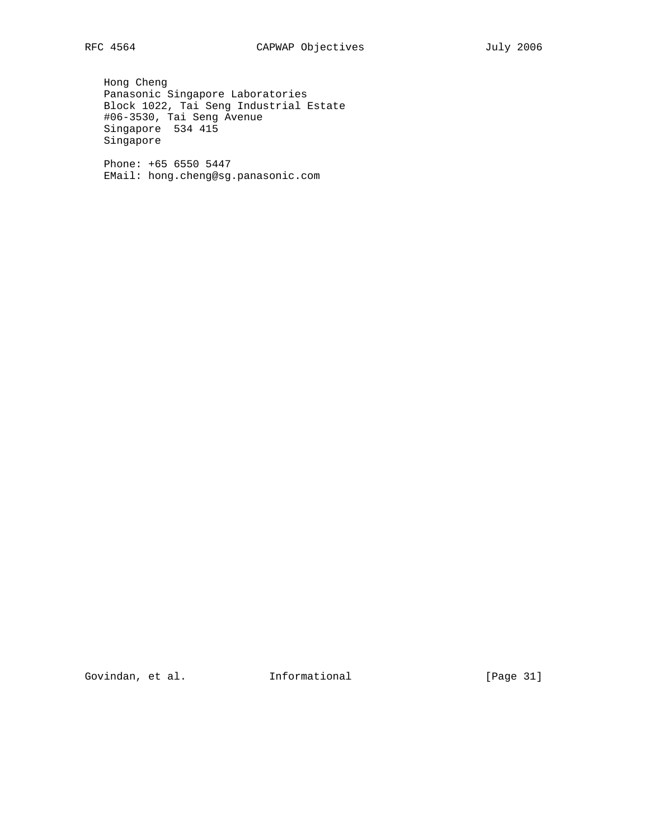Hong Cheng Panasonic Singapore Laboratories Block 1022, Tai Seng Industrial Estate #06-3530, Tai Seng Avenue Singapore 534 415 Singapore

 Phone: +65 6550 5447 EMail: hong.cheng@sg.panasonic.com